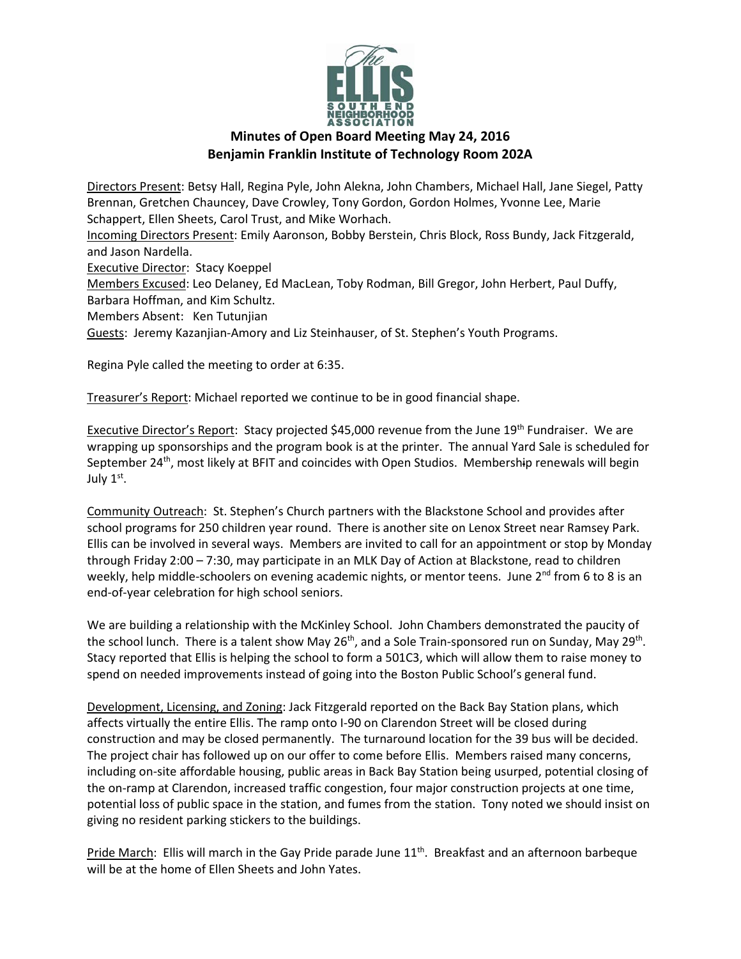

## **Minutes of Open Board Meeting May 24, 2016 Benjamin Franklin Institute of Technology Room 202A**

Directors Present: Betsy Hall, Regina Pyle, John Alekna, John Chambers, Michael Hall, Jane Siegel, Patty Brennan, Gretchen Chauncey, Dave Crowley, Tony Gordon, Gordon Holmes, Yvonne Lee, Marie Schappert, Ellen Sheets, Carol Trust, and Mike Worhach. Incoming Directors Present: Emily Aaronson, Bobby Berstein, Chris Block, Ross Bundy, Jack Fitzgerald, and Jason Nardella. Executive Director: Stacy Koeppel Members Excused: Leo Delaney, Ed MacLean, Toby Rodman, Bill Gregor, John Herbert, Paul Duffy, Barbara Hoffman, and Kim Schultz. Members Absent: Ken Tutunjian Guests: Jeremy Kazanjian-Amory and Liz Steinhauser, of St. Stephen's Youth Programs. Regina Pyle called the meeting to order at 6:35.

Treasurer's Report: Michael reported we continue to be in good financial shape.

Executive Director's Report: Stacy projected \$45,000 revenue from the June 19<sup>th</sup> Fundraiser. We are wrapping up sponsorships and the program book is at the printer. The annual Yard Sale is scheduled for September 24<sup>th</sup>, most likely at BFIT and coincides with Open Studios. Membership renewals will begin July 1st.

Community Outreach: St. Stephen's Church partners with the Blackstone School and provides after school programs for 250 children year round. There is another site on Lenox Street near Ramsey Park. Ellis can be involved in several ways. Members are invited to call for an appointment or stop by Monday through Friday 2:00 – 7:30, may participate in an MLK Day of Action at Blackstone, read to children weekly, help middle-schoolers on evening academic nights, or mentor teens. June  $2^{nd}$  from 6 to 8 is an end-of-year celebration for high school seniors.

We are building a relationship with the McKinley School. John Chambers demonstrated the paucity of the school lunch. There is a talent show May 26<sup>th</sup>, and a Sole Train-sponsored run on Sunday, May 29<sup>th</sup>. Stacy reported that Ellis is helping the school to form a 501C3, which will allow them to raise money to spend on needed improvements instead of going into the Boston Public School's general fund.

Development, Licensing, and Zoning: Jack Fitzgerald reported on the Back Bay Station plans, which affects virtually the entire Ellis. The ramp onto I-90 on Clarendon Street will be closed during construction and may be closed permanently. The turnaround location for the 39 bus will be decided. The project chair has followed up on our offer to come before Ellis. Members raised many concerns, including on-site affordable housing, public areas in Back Bay Station being usurped, potential closing of the on-ramp at Clarendon, increased traffic congestion, four major construction projects at one time, potential loss of public space in the station, and fumes from the station. Tony noted we should insist on giving no resident parking stickers to the buildings.

Pride March: Ellis will march in the Gay Pride parade June 11<sup>th</sup>. Breakfast and an afternoon barbeque will be at the home of Ellen Sheets and John Yates.